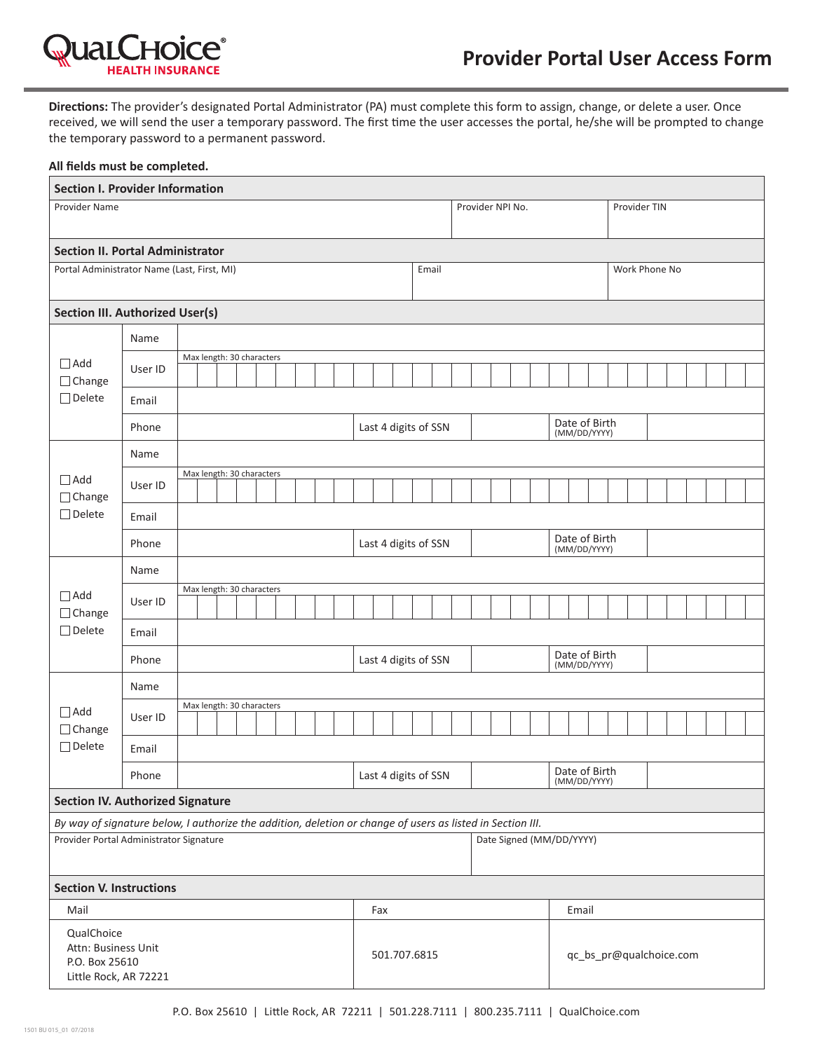

**Directions:** The provider's designated Portal Administrator (PA) must complete this form to assign, change, or delete a user. Once received, we will send the user a temporary password. The first time the user accesses the portal, he/she will be prompted to change the temporary password to a permanent password.

| All fields must be completed.                                                                                                                         |         |                           |  |  |  |  |       |              |                      |                      |                      |       |                               |                               |  |               |                         |              |                               |  |  |  |  |  |  |  |  |  |  |
|-------------------------------------------------------------------------------------------------------------------------------------------------------|---------|---------------------------|--|--|--|--|-------|--------------|----------------------|----------------------|----------------------|-------|-------------------------------|-------------------------------|--|---------------|-------------------------|--------------|-------------------------------|--|--|--|--|--|--|--|--|--|--|
| <b>Section I. Provider Information</b>                                                                                                                |         |                           |  |  |  |  |       |              |                      |                      |                      |       |                               |                               |  |               |                         |              |                               |  |  |  |  |  |  |  |  |  |  |
| Provider Name                                                                                                                                         |         |                           |  |  |  |  |       |              | Provider NPI No.     |                      |                      |       |                               |                               |  |               |                         | Provider TIN |                               |  |  |  |  |  |  |  |  |  |  |
| <b>Section II. Portal Administrator</b>                                                                                                               |         |                           |  |  |  |  |       |              |                      |                      |                      |       |                               |                               |  |               |                         |              |                               |  |  |  |  |  |  |  |  |  |  |
| Portal Administrator Name (Last, First, MI)                                                                                                           |         |                           |  |  |  |  | Email |              |                      |                      |                      |       |                               |                               |  | Work Phone No |                         |              |                               |  |  |  |  |  |  |  |  |  |  |
| <b>Section III. Authorized User(s)</b>                                                                                                                |         |                           |  |  |  |  |       |              |                      |                      |                      |       |                               |                               |  |               |                         |              |                               |  |  |  |  |  |  |  |  |  |  |
|                                                                                                                                                       | Name    |                           |  |  |  |  |       |              |                      |                      |                      |       |                               |                               |  |               |                         |              |                               |  |  |  |  |  |  |  |  |  |  |
| $\Box$ Add<br>$\Box$ Change<br>$\Box$ Delete                                                                                                          | User ID | Max length: 30 characters |  |  |  |  |       |              |                      |                      |                      |       |                               |                               |  |               |                         |              |                               |  |  |  |  |  |  |  |  |  |  |
|                                                                                                                                                       | Email   |                           |  |  |  |  |       |              |                      |                      |                      |       |                               |                               |  |               |                         |              |                               |  |  |  |  |  |  |  |  |  |  |
|                                                                                                                                                       | Phone   |                           |  |  |  |  |       |              |                      | Last 4 digits of SSN |                      |       |                               |                               |  |               |                         |              | Date of Birth<br>(MM/DD/YYYY) |  |  |  |  |  |  |  |  |  |  |
|                                                                                                                                                       | Name    |                           |  |  |  |  |       |              |                      |                      |                      |       |                               |                               |  |               |                         |              |                               |  |  |  |  |  |  |  |  |  |  |
| $\Box$ Add<br>$\Box$ Change<br>$\Box$ Delete                                                                                                          | User ID | Max length: 30 characters |  |  |  |  |       |              |                      |                      |                      |       |                               |                               |  |               |                         |              |                               |  |  |  |  |  |  |  |  |  |  |
|                                                                                                                                                       |         |                           |  |  |  |  |       |              |                      |                      |                      |       |                               |                               |  |               |                         |              |                               |  |  |  |  |  |  |  |  |  |  |
|                                                                                                                                                       | Email   |                           |  |  |  |  |       |              |                      |                      |                      |       |                               |                               |  |               |                         |              |                               |  |  |  |  |  |  |  |  |  |  |
|                                                                                                                                                       | Phone   |                           |  |  |  |  |       |              | Last 4 digits of SSN |                      |                      |       |                               | Date of Birth<br>(MM/DD/YYYY) |  |               |                         |              |                               |  |  |  |  |  |  |  |  |  |  |
| $\Box$ Add<br>$\Box$ Change                                                                                                                           | Name    |                           |  |  |  |  |       |              |                      |                      |                      |       |                               |                               |  |               |                         |              |                               |  |  |  |  |  |  |  |  |  |  |
|                                                                                                                                                       | User ID | Max length: 30 characters |  |  |  |  |       |              |                      |                      |                      |       |                               |                               |  |               |                         |              |                               |  |  |  |  |  |  |  |  |  |  |
| $\Box$ Delete                                                                                                                                         | Email   |                           |  |  |  |  |       |              |                      |                      |                      |       |                               |                               |  |               |                         |              |                               |  |  |  |  |  |  |  |  |  |  |
|                                                                                                                                                       | Phone   |                           |  |  |  |  |       |              |                      |                      | Last 4 digits of SSN |       | Date of Birth<br>(MM/DD/YYYY) |                               |  |               |                         |              |                               |  |  |  |  |  |  |  |  |  |  |
|                                                                                                                                                       | Name    |                           |  |  |  |  |       |              |                      |                      |                      |       |                               |                               |  |               |                         |              |                               |  |  |  |  |  |  |  |  |  |  |
| $\Box$ Add<br>□ Change<br>$\Box$ Delete                                                                                                               | User ID | Max length: 30 characters |  |  |  |  |       |              |                      |                      |                      |       |                               |                               |  |               |                         |              |                               |  |  |  |  |  |  |  |  |  |  |
|                                                                                                                                                       | Email   |                           |  |  |  |  |       |              |                      |                      |                      |       |                               |                               |  |               |                         |              |                               |  |  |  |  |  |  |  |  |  |  |
|                                                                                                                                                       |         |                           |  |  |  |  |       |              |                      |                      |                      |       |                               |                               |  | Date of Birth |                         |              |                               |  |  |  |  |  |  |  |  |  |  |
| Phone<br><b>Section IV. Authorized Signature</b>                                                                                                      |         |                           |  |  |  |  |       |              | Last 4 digits of SSN |                      |                      |       |                               |                               |  |               | (MM/DD/YYYY)            |              |                               |  |  |  |  |  |  |  |  |  |  |
|                                                                                                                                                       |         |                           |  |  |  |  |       |              |                      |                      |                      |       |                               |                               |  |               |                         |              |                               |  |  |  |  |  |  |  |  |  |  |
| By way of signature below, I authorize the addition, deletion or change of users as listed in Section III.<br>Provider Portal Administrator Signature |         |                           |  |  |  |  |       |              |                      |                      |                      |       | Date Signed (MM/DD/YYYY)      |                               |  |               |                         |              |                               |  |  |  |  |  |  |  |  |  |  |
|                                                                                                                                                       |         |                           |  |  |  |  |       |              |                      |                      |                      |       |                               |                               |  |               |                         |              |                               |  |  |  |  |  |  |  |  |  |  |
| <b>Section V. Instructions</b>                                                                                                                        |         |                           |  |  |  |  |       |              |                      |                      |                      |       |                               |                               |  |               |                         |              |                               |  |  |  |  |  |  |  |  |  |  |
| Mail                                                                                                                                                  |         |                           |  |  |  |  | Fax   |              |                      |                      |                      | Email |                               |                               |  |               |                         |              |                               |  |  |  |  |  |  |  |  |  |  |
| QualChoice<br>Attn: Business Unit<br>P.O. Box 25610<br>Little Rock, AR 72221                                                                          |         |                           |  |  |  |  |       | 501.707.6815 |                      |                      |                      |       |                               |                               |  |               | qc_bs_pr@qualchoice.com |              |                               |  |  |  |  |  |  |  |  |  |  |